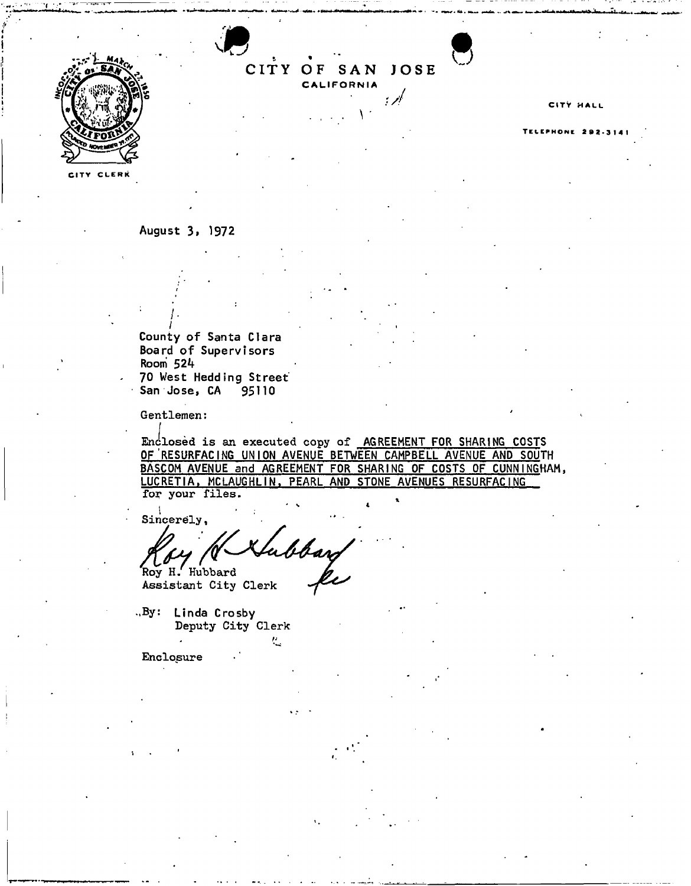

CITY OF SAN JOSE **CALIFORNIA**  $\mathcal{A}$ 

**August 3i 1972** 

*I*  **County of Santa Clara Board o f Supervisor s Room** *\$2k*  **> 70 West Hedding Street" San Jose, CA 95110** 

Gentlemen:

Enclosed is an executed copy of <u>AGREEMENT FOR SHARING COST</u>S **OF'RESURFACING UNION AVENUE BETWEEN CAMPBELL AVENUE AND SOUTH BASCOM AVENUE** and **AGREEMENT FOR SHARING OF COSTS OF CUNNINGHAM,**  LUCRETIA, MCLAUGHLIN, PEARL AND STONE AVENUES RESURFACING for your files.

**Sincerely,** 

abbars Roy H. Hubbard

Assistant City Clerk

-.By: **Linda Crosby**  Deputy City Clerk */j* 

Enclosure

### CITY HALL

#### ELEPHONE 292.31.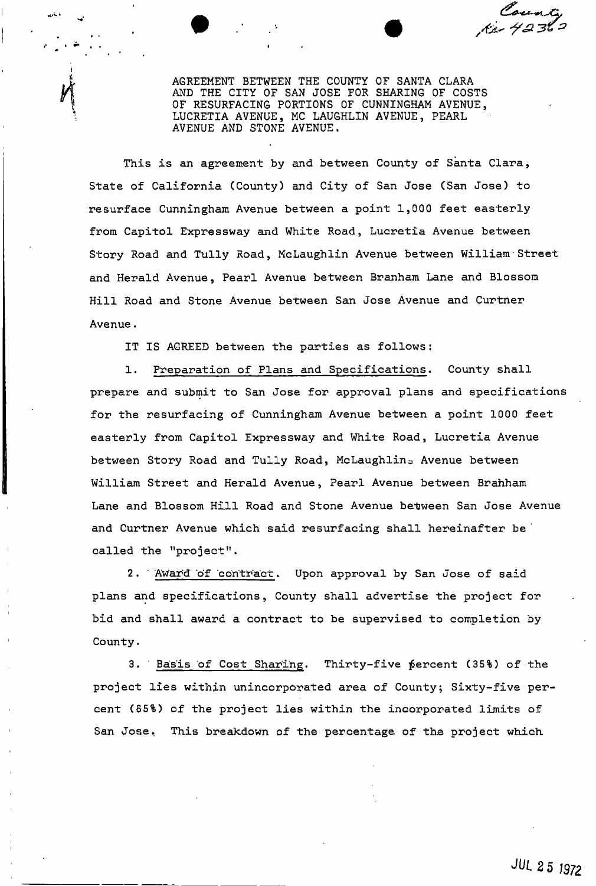County<br>- 4236 من

AGREEMENT BETWEEN THE COUNTY OF SANTA CLARA AND THE CITY OF SAN JOSE FOR SHARING OF COSTS OF RESURFACING PORTIONS OF CUNNINGHAM AVENUE, LUCRETIA AVENUE, MC LAUGHLIN AVENUE, PEARL AVENUE AND STONE AVENUE.

This is an agreement by and between County of Santa Clara, State of California (County) and City of San Jose (San Jose) to resurface Cunningham Avenue between a point 1,000 feet easterly from Capitol Expressway and White Road, Lucretia Avenue between Story Road and Tully Road, McLaughlin Avenue between William Street and Herald Avenue, Pearl Avenue between Branham Lane and Blossom Hill Road and Stone Avenue between San Jose Avenue and Curtner Avenue.

IT IS AGREED between the parties as follows:

1. Preparation of Plans and Specifications. County shall prepare and submit to San Jose for approval plans and specifications for the resurfacing of Cunningham Avenue between a point 1000 feet easterly from Capitol Expressway and White Road, Lucretia Avenue between Story Road and Tully Road, McLaughlin<sub>z</sub> Avenue between William Street and Herald Avenue, Pearl Avenue between Branham Lane and Blossom Hill Road and Stone Avenue between San Jose Avenue and Curtner Avenue which said resurfacing shall hereinafter be ' called the "project".

2 . ' Award' of contract. Upon approval by San Jose of said plans and specifications, County shall advertise the project for bid and shall award a contract to be supervised to completion by County.

3. Basis of Cost Sharing. Thirty-five percent (35%) of the project lies within unincorporated area of County; Sixty-five percent (65%) of the project lies within the incorporated limits of San Jose. This breakdown of the percentage of the project which.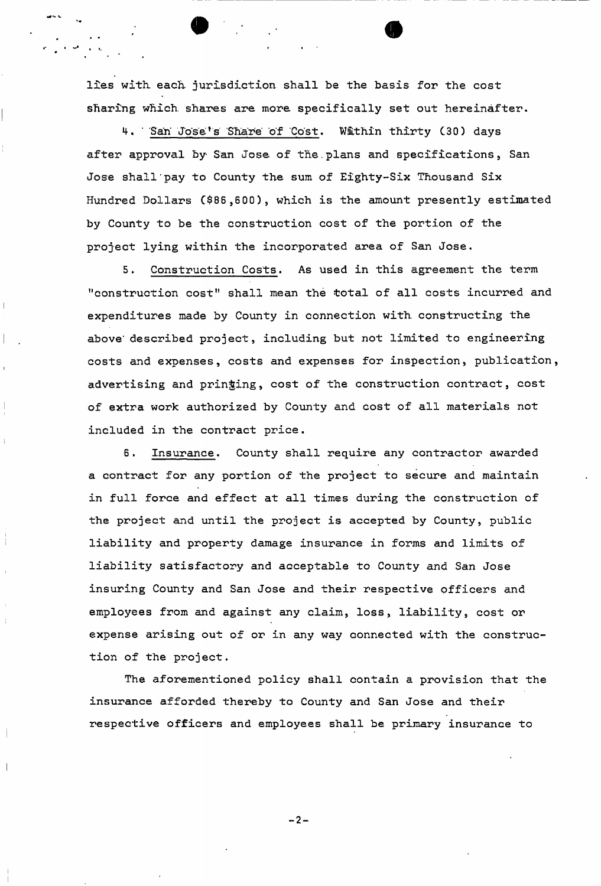lies with each jurisdiction shall be the basis for the cost sharing which shares are more specifically set out hereinafter.

4. San Jose's Share of Cost. Within thirty (30) days after approval by San Jose of the.plans and specifications, San Jose shall'pay to County the sum of Eighty-Six Thousand Six Hundred Dollars C\$86,600), which is the amount presently estimated by County to be the construction cost of the portion of the project lying within the incorporated area of San Jose.

5. Construction Costs. As used in this agreement the term "construction cost" shall mean the total of all costs incurred and expenditures made by County in connection with constructing the above" described project, including but not limited to engineering costs and expenses, costs and expenses for inspection, publication, advertising and pringing, cost of the construction contract, cost of extra work authorized by County and cost of all materials not included in the contract price.

6. Insurance. County shall require any contractor awarded a contract for any portion of the project to secure and maintain in full force and effect at all times during the construction of the project and until the project is accepted by County, public liability and property damage insurance in forms and limits of liability satisfactory and acceptable to County and San Jose insuring County and San Jose and their respective officers and employees from and against any claim, loss, liability, cost or expense arising out of or in any way connected with the construction of the project.

The aforementioned policy shall contain a provision that the insurance afforded thereby to County and San Jose and their respective officers and employees shall be primary insurance to

 $-2-$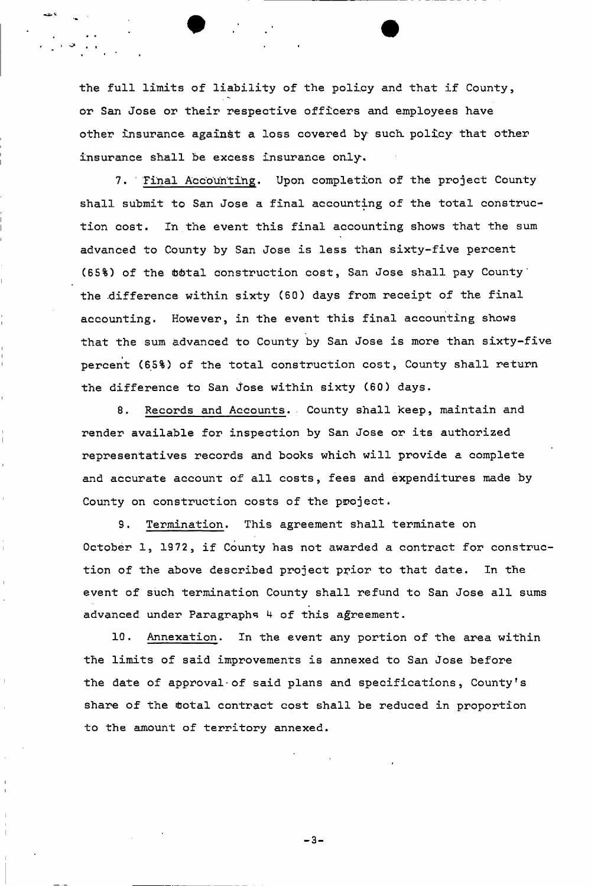the full limits of liability of the policy and that if County, or San Jose or their respective officers and employees have other insurance against a loss covered by such, policy that other insurance shall be excess insurance only.

7. " Final Accounting. Upon completion of the project County shall submit to San Jose a final accounting of the total construction cost. In the event this final accounting shows that the sum advanced to County by San Jose is less than sixty-five percent (65%) of the  $total$  construction cost, San Jose shall pay County' the difference within sixty (60) days from receipt of the final accounting. However, in the event this final accounting shows that the sum advanced to County by San Jose is more than sixty-five percent (65%) of the total construction cost, County shall return the difference to San Jose within sixty (60) days.

8. Records and Accounts. County shall keep, maintain and render available for inspection by San Jose or its authorized representatives records and books which will provide a complete and accurate account of all costs, fees and expenditures made by County on construction costs of the project.

9. Termination. This agreement shall terminate on October 1, 1972, if County has not awarded a contract for construction of the above described project prior to that date. In the event of such termination County shall refund to San Jose all sums advanced under Paragraphs 4 of this agreement.

10. Annexation. In the event any portion of the area within the limits of said improvements is annexed to San Jose before the date of approval-of said plans and specifications, County's share of the total contract cost shall be reduced in proportion to the amount of territory annexed.

 $-3-$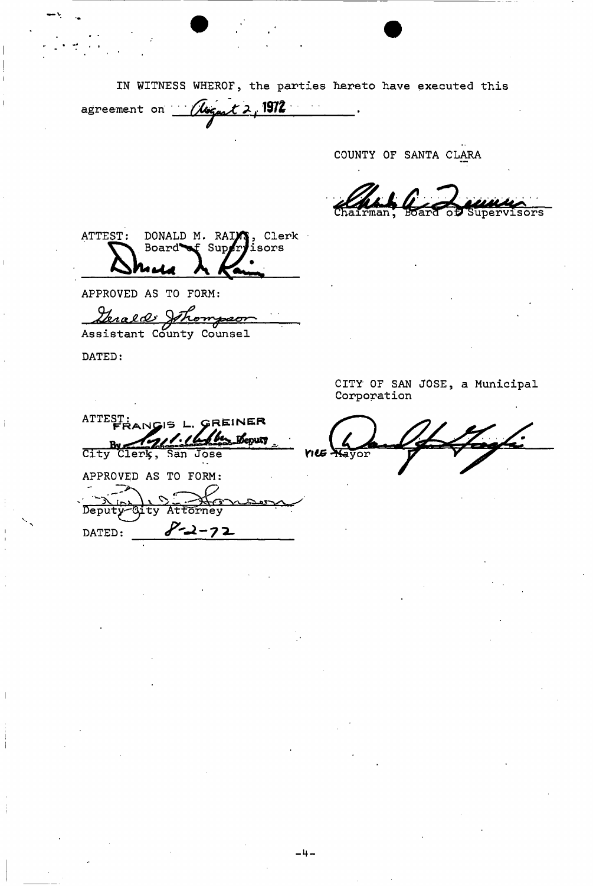IN WITNESS WHEROF, the parties hereto have executed this

agreement on *Cloquat* 2, 1972  $\overline{\phantom{a}}$ 

COUNTY OF SANTA CLARA

upervisors

DONALD M. RAIM, Clerk<br>Board of Supervisors ATTEST:

APPROVED AS TO FORM:

Genald Johnnpon

DATED:

ATTEST:<br>FRANGIS L. GREINER  $211.16$ Leputy By 174 San Jose APPROVED AS TO FORM: سیم  $\triangleright$ Deputy-City Attorney  $8 - 2 - 72$ DATED:

CITY OF SAN JOSE, a Municipal Corporation

Nayor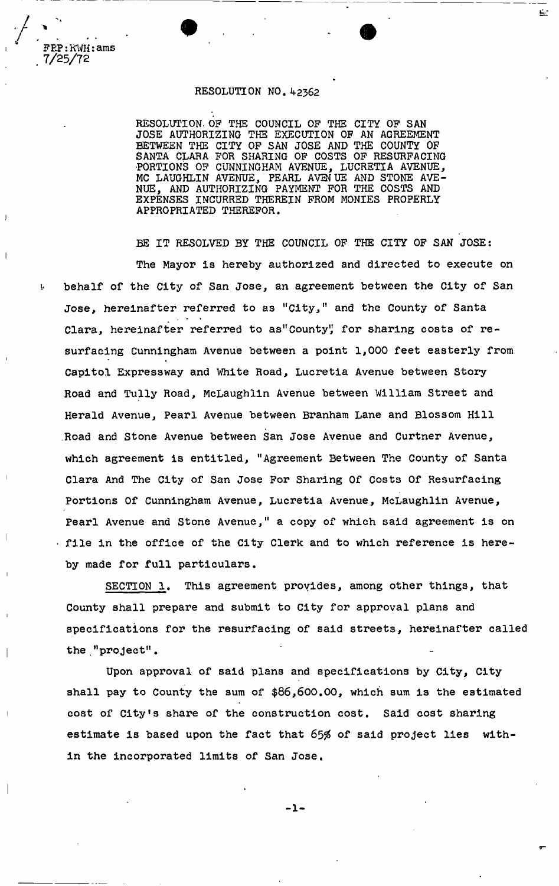# RESOLUTION NO. 42362

RESOLUTION. OP THE COUNCIL OF THE CITY OF SAN JOSE AUTHORIZING THE EXECUTION OF AN AGREEMENT BETWEEN THE CITY OF SAN JOSE AND THE COUNTY OF SANTA CLARA FOR SHARING OF COSTS OF RESURFACING •PORTIONS OF CUNNINGHAM AVENUE, LUCRETIA AVENUE, MC LAUGHLIN AVENUE, PEARL AVENUE AND STONE AVE-NUE, AND AUTHORIZING **PAYMENT** FOR THE COSTS AND EXPENSES INCURRED THEREIN FROM MONIES PROPERLY APPROPRIATED THEREFOR.

E.

BE IT RESOLVED BY THE COUNCIL OF THE CITY OF SAN JOSE: The Mayor is hereby authorized and directed to execute on behalf of the City of San Jose, an agreement between the City of San Jose, hereinafter referred to as "City," and the County of Santa Clara, hereinafter referred to as"County" for sharing costs of resurfacing Cunningham Avenue between a point 1,000 feet easterly from Capitol Expressway and White Road, Lucretia Avenue between Story Road and Tully Road, McLaughlin Avenue between William Street and Herald Avenue, Pearl Avenue between Branham Lane and Blossom Hill Road and Stone Avenue between San Jose Avenue and Curtner Avenue, which agreement is entitled, "Agreement Between The County of Santa Clara And The City of San Jose For Sharing Of Costs Of Resurfacing Portions Of Cunningham Avenue, Lucretia Avenue, McLaughlin Avenue, Pearl Avenue and Stone Avenue," a copy of which said agreement is on • file in the office of the City Clerk and to which reference is hereby made for full particulars.

SECTION 1, This agreement provides, among other things, that County shall prepare and submit to City for approval plans and specifications for the resurfacing of said streets, hereinafter called the."project".

Upon approval of said plans and specifications by City, City shall pay to County the sum of \$86,600.00, which sum is the estimated cost of City's share of the construction cost. Said cost sharing estimate is based upon the fact that 65% of said project lies within the incorporated limits of San Jose.

-1-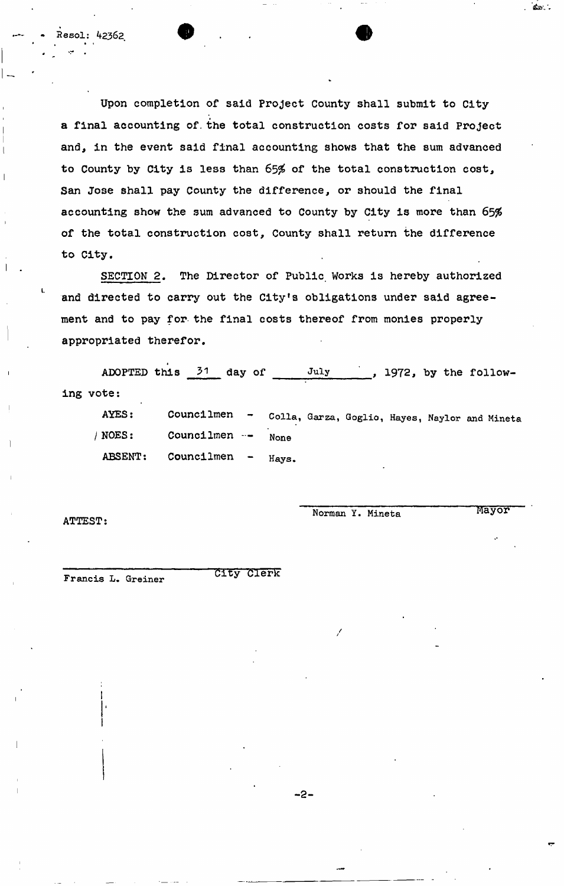Upon completion of said Project County shall submit to City a final accounting of. the total construction costs for said Project and, in the event said final accounting shows that the sum advanced to County by City is less than 65% of the total construction cost, San Jose shall pay County the difference, or should the final accounting show the sum advanced to County by City is more than 65% of the total construction cost, County shall return the difference to City.

**• •** 

SECTION 2. The Director of Public. Works is hereby authorized and directed to carry out the City's obligations under said agreement and to pay for the final costs thereof from monies properly appropriated therefor. appropriated therefor.

ADOPTED this  $31$  day of July , 1972, by the following vote: AYES: Councilmen

Colla, Garza, Goglio, Hayes, Naylor and Mineta None Hays. /NOES: Councilmen --ABSENT: Councilmen

**•2** 

ATTEST:

**I** 

L

sol: 42362

Norman Y. Mineta Mayor

**CID** 

Francis L. Greiner

City Clerk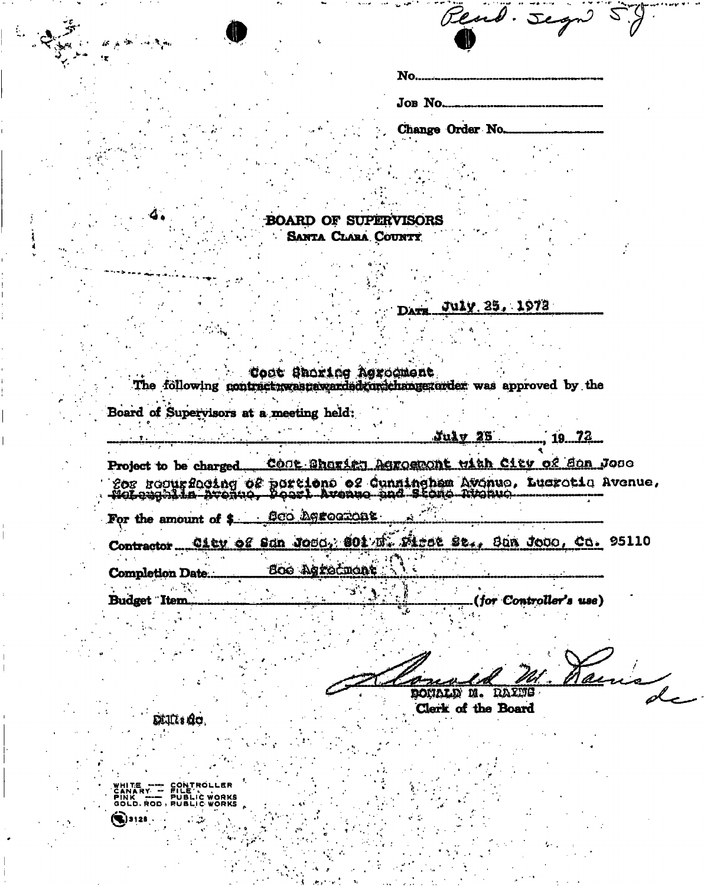| $\Delta^{\mu\nu}{}_{\mu\nu}{}^{\mu\nu}{}^{\mu\nu}{}^{\nu\lambda}{}^{\nu\lambda}{}^{\nu\lambda}{}^{\nu\lambda}{}^{\nu\lambda}{}^{\nu\lambda}{}^{\nu\lambda}{}^{\nu\lambda}{}^{\nu\lambda}{}^{\nu\lambda}{}^{\nu\lambda}{}^{\nu\lambda}{}^{\nu\lambda}{}^{\nu\lambda}{}^{\nu\lambda}{}^{\nu\lambda}{}^{\nu\lambda}{}^{\nu\lambda}{}^{\nu\lambda}{}^{\nu\lambda}{}^{\nu\lambda}{}^{\nu\lambda}{}^{\nu\lambda}{}^{\nu\lambda}{}^{\nu\lambda}{}^{\nu\lambda}{}^{\nu\lambda}{}^$ | Read. Segn 59                                                                                                                                                                                 |  |
|----------------------------------------------------------------------------------------------------------------------------------------------------------------------------------------------------------------------------------------------------------------------------------------------------------------------------------------------------------------------------------------------------------------------------------------------------------------------------|-----------------------------------------------------------------------------------------------------------------------------------------------------------------------------------------------|--|
|                                                                                                                                                                                                                                                                                                                                                                                                                                                                            |                                                                                                                                                                                               |  |
|                                                                                                                                                                                                                                                                                                                                                                                                                                                                            |                                                                                                                                                                                               |  |
|                                                                                                                                                                                                                                                                                                                                                                                                                                                                            | Change Order No                                                                                                                                                                               |  |
|                                                                                                                                                                                                                                                                                                                                                                                                                                                                            |                                                                                                                                                                                               |  |
|                                                                                                                                                                                                                                                                                                                                                                                                                                                                            |                                                                                                                                                                                               |  |
|                                                                                                                                                                                                                                                                                                                                                                                                                                                                            | <b>BOARD OF SUPERVISORS</b>                                                                                                                                                                   |  |
|                                                                                                                                                                                                                                                                                                                                                                                                                                                                            | SANTA CLARA COUNTY                                                                                                                                                                            |  |
|                                                                                                                                                                                                                                                                                                                                                                                                                                                                            | July 25, 1972<br>DATE                                                                                                                                                                         |  |
|                                                                                                                                                                                                                                                                                                                                                                                                                                                                            |                                                                                                                                                                                               |  |
| Board of Supervisors at a meeting held:                                                                                                                                                                                                                                                                                                                                                                                                                                    | Cont Shoring Agrocment<br>The following contract:wastawarded for ichange arder was approved by the                                                                                            |  |
| printenamente di circa del control                                                                                                                                                                                                                                                                                                                                                                                                                                         | $Ju \& y$ 25 19 72                                                                                                                                                                            |  |
|                                                                                                                                                                                                                                                                                                                                                                                                                                                                            | Project to be charged COOR Charien Asroemont with City of Son Jose<br>for requrficiing of portions of Cunningham Avenue, Lusretic Avenue,<br>Noteughila Avenue, Poest Avenue and Stone Avenue |  |
| For the amount of \$ 000 herocross.                                                                                                                                                                                                                                                                                                                                                                                                                                        |                                                                                                                                                                                               |  |
|                                                                                                                                                                                                                                                                                                                                                                                                                                                                            | Contractor City of Sun Jose, 801 E. First St., Sun Jose, Ca. 95110                                                                                                                            |  |
| <b>Completion Date</b>                                                                                                                                                                                                                                                                                                                                                                                                                                                     | <b>Boo Agrectment</b>                                                                                                                                                                         |  |
| <b>Budget</b> Item                                                                                                                                                                                                                                                                                                                                                                                                                                                         | (for Controller's use)                                                                                                                                                                        |  |
|                                                                                                                                                                                                                                                                                                                                                                                                                                                                            |                                                                                                                                                                                               |  |

thomsens m. rm ふいい Clerk of the Board

DEUIs de

WHITE<br>CANARY<br>PINK<br>GOLD.ROD, OLDER ROL  $\left(\bigotimes$ 3128.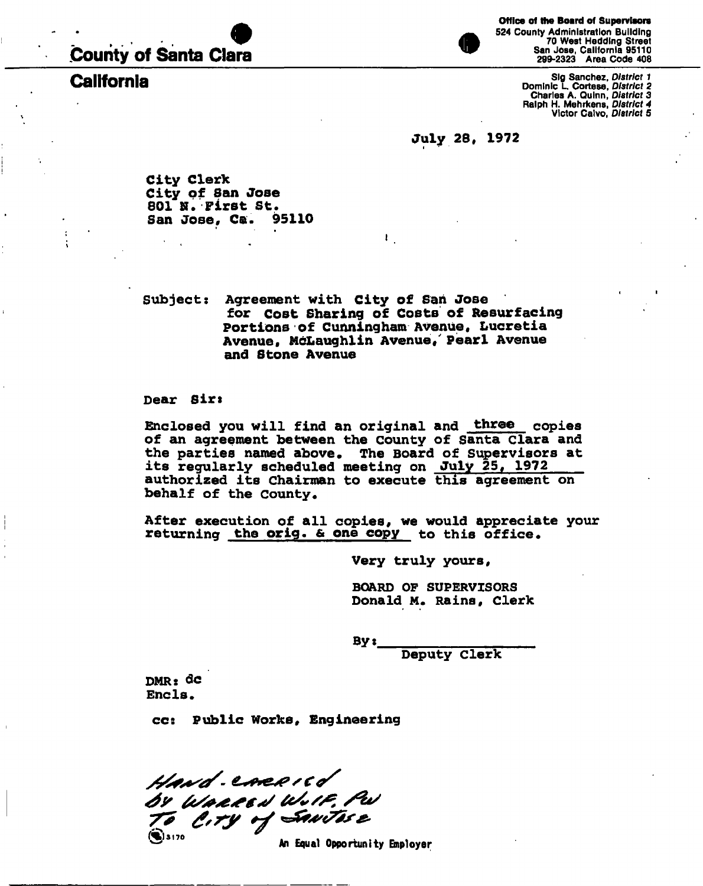# .County of Santa Clara

**Office of the Board of Supervisors**  524 County Administration Building 70 West Hedding Street San Jose, California 95110 299-2323 Area Code 408

Sig Sanchez, *District 1*<br>Bominic L. Cortese, *District 2*<br>Charles A. Quinn, *District 3*<br>Ralph H. Mehrkens, *District 3*<br>Victor Calvo, *District 4* 

## **July 28, 1972**

**City Clerk City of San Jose 801 K. First St.**  San Jose, Ca.

**Subject: Agreement with City of San Jose for Cost Sharing of Costs of Resurfacing Portions of Cunningham Avenue, Lucretia Avenue, McLaughlin Avenue/ Pearl Avenue and Stone Avenue** 

i .

**Dear Sirs** 

**Enclosed you will find an original and three copies of an agreement between the County of Santa Clara and the parties named above. The Board of Supervisors at its regularly scheduled meeting on July 25, 1972 authorized its Chairman to execute this agreement on behalf of the County,** 

**After execution of all copies, we would appreciate your returning the orig. & one copy to this office.** 

**Very truly yours,** 

**BOARD OF SUPERVISORS Donald M« Rains, Clerk** 

**By:** 

**Deputy Clerk** 

DMR: dc **Ends,** 

®

**ccs Public Works, Engineering** 

Hand-CARRICO By Warred W.IF. Pu  $\ddot{3}$ , 3170

An Equal Opportunity Employer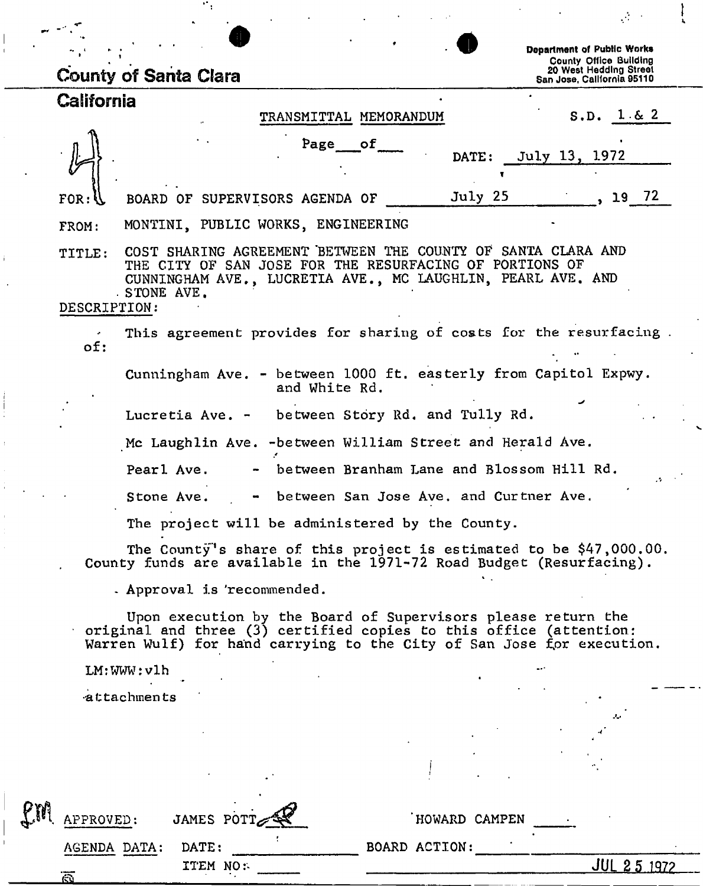|                        | <b>County of Santa Clara</b>                                                                                                                                                                                |                                        | A.<br><b>Department of Public Works</b><br><b>County Office Building</b><br>20 West Hedding Street<br>San Jose, California 95110 |
|------------------------|-------------------------------------------------------------------------------------------------------------------------------------------------------------------------------------------------------------|----------------------------------------|----------------------------------------------------------------------------------------------------------------------------------|
| California             |                                                                                                                                                                                                             |                                        |                                                                                                                                  |
|                        |                                                                                                                                                                                                             | TRANSMITTAL MEMORANDUM                 | S.D. 1 & 2                                                                                                                       |
|                        |                                                                                                                                                                                                             | of<br>Page                             | July 13, 1972<br>DATE:                                                                                                           |
| $FOR: \mathcal{U}$     | BOARD OF SUPERVISORS AGENDA OF                                                                                                                                                                              |                                        | July 25<br>19 72                                                                                                                 |
| FROM:                  | MONTINI, PUBLIC WORKS, ENGINEERING                                                                                                                                                                          |                                        |                                                                                                                                  |
| TITLE:<br>DESCRIPTION: | COST SHARING AGREEMENT BETWEEN THE COUNTY OF SANTA CLARA AND<br>THE CITY OF SAN JOSE FOR THE RESURFACING OF PORTIONS OF<br>CUNNINGHAM AVE., LUCRETIA AVE., MC LAUGHLIN, PEARL AVE. AND<br>STONE AVE.        |                                        |                                                                                                                                  |
| of:                    |                                                                                                                                                                                                             |                                        | This agreement provides for sharing of costs for the resurfacing.                                                                |
|                        | Cunningham Ave. - between 1000 ft. easterly from Capitol Expwy.                                                                                                                                             | and White Rd.                          |                                                                                                                                  |
|                        | Lucretia Ave. - between Story Rd. and Tully Rd.                                                                                                                                                             |                                        |                                                                                                                                  |
|                        | Mc Laughlin Ave. - between William Street and Herald Ave.                                                                                                                                                   |                                        |                                                                                                                                  |
|                        | Pearl Ave.                                                                                                                                                                                                  |                                        | between Branham Lane and Blossom Hill Rd.                                                                                        |
|                        | Stone Ave.                                                                                                                                                                                                  | between San Jose Ave, and Curtner Ave. |                                                                                                                                  |
|                        | The project will be administered by the County.                                                                                                                                                             |                                        |                                                                                                                                  |
|                        | County funds are available in the 1971-72 Road Budget (Resurfacing).                                                                                                                                        |                                        | The County's share of this project is estimated to be \$47,000.00.                                                               |
|                        | . Approval is 'recommended.                                                                                                                                                                                 |                                        |                                                                                                                                  |
|                        | Upon execution by the Board of Supervisors please return the<br>original and three (3) certified copies to this office (attention:<br>Warren Wulf) for hand carrying to the City of San Jose for execution. |                                        |                                                                                                                                  |
|                        | LM:WWW:vlh                                                                                                                                                                                                  |                                        |                                                                                                                                  |
|                        | attachments                                                                                                                                                                                                 |                                        |                                                                                                                                  |
|                        |                                                                                                                                                                                                             |                                        |                                                                                                                                  |
|                        |                                                                                                                                                                                                             |                                        |                                                                                                                                  |
| APPROVED:              | JAMES POTT                                                                                                                                                                                                  |                                        | HOWARD CAMPEN                                                                                                                    |
| AGENDA DATA:           | DATE:                                                                                                                                                                                                       | BOARD ACTION:                          |                                                                                                                                  |
| ā.                     | ITEM NO:                                                                                                                                                                                                    |                                        | <u>JUL 25 1972</u>                                                                                                               |

 $\begin{array}{c} \begin{array}{c} \begin{array}{c} \end{array}\\ \begin{array}{c} \end{array} \end{array} \end{array}$ 

 $\frac{1}{\sqrt{2}}\left( \frac{1}{\sqrt{2}}\right) ^{2}$ 

 $\mathcal{C}_{\mathcal{A}}$